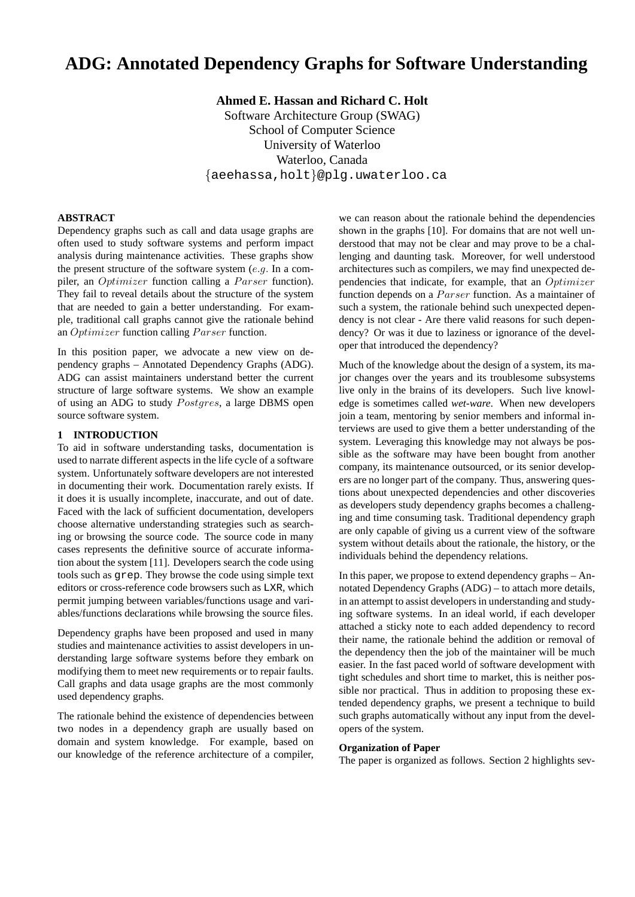# **ADG: Annotated Dependency Graphs for Software Understanding**

**Ahmed E. Hassan and Richard C. Holt** Software Architecture Group (SWAG) School of Computer Science University of Waterloo Waterloo, Canada {aeehassa,holt}@plg.uwaterloo.ca

# **ABSTRACT**

Dependency graphs such as call and data usage graphs are often used to study software systems and perform impact analysis during maintenance activities. These graphs show the present structure of the software system  $(e,q)$ . In a compiler, an *Optimizer* function calling a *Parser* function). They fail to reveal details about the structure of the system that are needed to gain a better understanding. For example, traditional call graphs cannot give the rationale behind an Optimizer function calling Parser function.

In this position paper, we advocate a new view on dependency graphs – Annotated Dependency Graphs (ADG). ADG can assist maintainers understand better the current structure of large software systems. We show an example of using an ADG to study *Postgres*, a large DBMS open source software system.

#### **1 INTRODUCTION**

To aid in software understanding tasks, documentation is used to narrate different aspects in the life cycle of a software system. Unfortunately software developers are not interested in documenting their work. Documentation rarely exists. If it does it is usually incomplete, inaccurate, and out of date. Faced with the lack of sufficient documentation, developers choose alternative understanding strategies such as searching or browsing the source code. The source code in many cases represents the definitive source of accurate information about the system [11]. Developers search the code using tools such as grep. They browse the code using simple text editors or cross-reference code browsers such as LXR, which permit jumping between variables/functions usage and variables/functions declarations while browsing the source files.

Dependency graphs have been proposed and used in many studies and maintenance activities to assist developers in understanding large software systems before they embark on modifying them to meet new requirements or to repair faults. Call graphs and data usage graphs are the most commonly used dependency graphs.

The rationale behind the existence of dependencies between two nodes in a dependency graph are usually based on domain and system knowledge. For example, based on our knowledge of the reference architecture of a compiler,

we can reason about the rationale behind the dependencies shown in the graphs [10]. For domains that are not well understood that may not be clear and may prove to be a challenging and daunting task. Moreover, for well understood architectures such as compilers, we may find unexpected dependencies that indicate, for example, that an Optimizer function depends on a  $Parser$  function. As a maintainer of such a system, the rationale behind such unexpected dependency is not clear - Are there valid reasons for such dependency? Or was it due to laziness or ignorance of the developer that introduced the dependency?

Much of the knowledge about the design of a system, its major changes over the years and its troublesome subsystems live only in the brains of its developers. Such live knowledge is sometimes called *wet-ware*. When new developers join a team, mentoring by senior members and informal interviews are used to give them a better understanding of the system. Leveraging this knowledge may not always be possible as the software may have been bought from another company, its maintenance outsourced, or its senior developers are no longer part of the company. Thus, answering questions about unexpected dependencies and other discoveries as developers study dependency graphs becomes a challenging and time consuming task. Traditional dependency graph are only capable of giving us a current view of the software system without details about the rationale, the history, or the individuals behind the dependency relations.

In this paper, we propose to extend dependency graphs – Annotated Dependency Graphs (ADG) – to attach more details, in an attempt to assist developers in understanding and studying software systems. In an ideal world, if each developer attached a sticky note to each added dependency to record their name, the rationale behind the addition or removal of the dependency then the job of the maintainer will be much easier. In the fast paced world of software development with tight schedules and short time to market, this is neither possible nor practical. Thus in addition to proposing these extended dependency graphs, we present a technique to build such graphs automatically without any input from the developers of the system.

#### **Organization of Paper**

The paper is organized as follows. Section 2 highlights sev-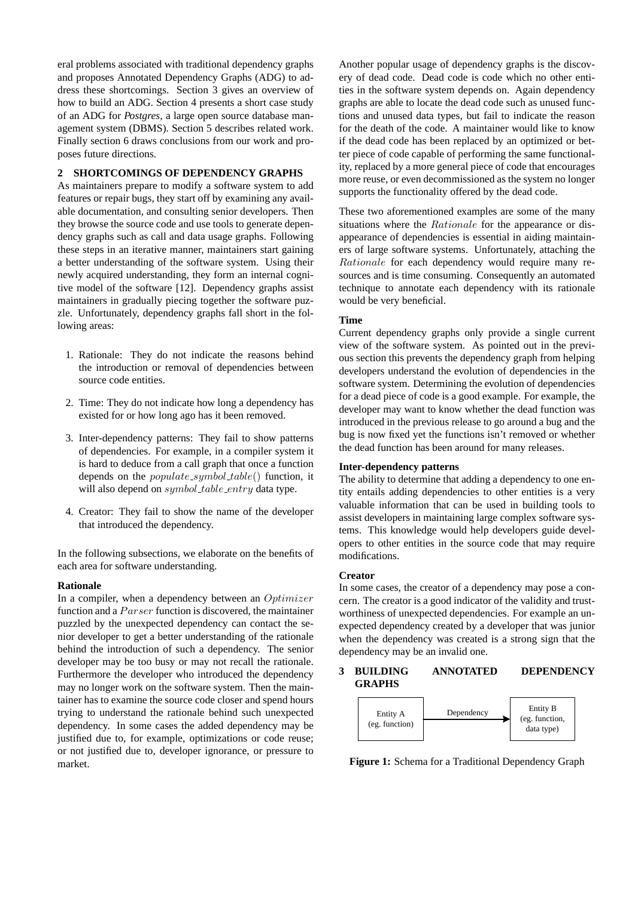eral problems associated with traditional dependency graphs and proposes Annotated Dependency Graphs (ADG) to address these shortcomings. Section 3 gives an overview of how to build an ADG. Section 4 presents a short case study of an ADG for *Postgres*, a large open source database management system (DBMS). Section 5 describes related work. Finally section 6 draws conclusions from our work and proposes future directions.

#### **2 SHORTCOMINGS OF DEPENDENCY GRAPHS**

As maintainers prepare to modify a software system to add features or repair bugs, they start off by examining any available documentation, and consulting senior developers. Then they browse the source code and use tools to generate dependency graphs such as call and data usage graphs. Following these steps in an iterative manner, maintainers start gaining a better understanding of the software system. Using their newly acquired understanding, they form an internal cognitive model of the software [12]. Dependency graphs assist maintainers in gradually piecing together the software puzzle. Unfortunately, dependency graphs fall short in the following areas:

- 1. Rationale: They do not indicate the reasons behind the introduction or removal of dependencies between source code entities.
- 2. Time: They do not indicate how long a dependency has existed for or how long ago has it been removed.
- 3. Inter-dependency patterns: They fail to show patterns of dependencies. For example, in a compiler system it is hard to deduce from a call graph that once a function depends on the  $populate\_symbol\_table()$  function, it will also depend on  $symbol\_table\_entry$  data type.
- 4. Creator: They fail to show the name of the developer that introduced the dependency.

In the following subsections, we elaborate on the benefits of each area for software understanding.

#### **Rationale**

In a compiler, when a dependency between an Optimizer function and a  $Parser$  function is discovered, the maintainer puzzled by the unexpected dependency can contact the senior developer to get a better understanding of the rationale behind the introduction of such a dependency. The senior developer may be too busy or may not recall the rationale. Furthermore the developer who introduced the dependency may no longer work on the software system. Then the maintainer has to examine the source code closer and spend hours trying to understand the rationale behind such unexpected dependency. In some cases the added dependency may be justified due to, for example, optimizations or code reuse; or not justified due to, developer ignorance, or pressure to market.

Another popular usage of dependency graphs is the discovery of dead code. Dead code is code which no other entities in the software system depends on. Again dependency graphs are able to locate the dead code such as unused functions and unused data types, but fail to indicate the reason for the death of the code. A maintainer would like to know if the dead code has been replaced by an optimized or better piece of code capable of performing the same functionality, replaced by a more general piece of code that encourages more reuse, or even decommissioned as the system no longer supports the functionality offered by the dead code.

These two aforementioned examples are some of the many situations where the Rationale for the appearance or disappearance of dependencies is essential in aiding maintainers of large software systems. Unfortunately, attaching the Rationale for each dependency would require many resources and is time consuming. Consequently an automated technique to annotate each dependency with its rationale would be very beneficial.

# **Time**

Current dependency graphs only provide a single current view of the software system. As pointed out in the previous section this prevents the dependency graph from helping developers understand the evolution of dependencies in the software system. Determining the evolution of dependencies for a dead piece of code is a good example. For example, the developer may want to know whether the dead function was introduced in the previous release to go around a bug and the bug is now fixed yet the functions isn't removed or whether the dead function has been around for many releases.

## **Inter-dependency patterns**

The ability to determine that adding a dependency to one entity entails adding dependencies to other entities is a very valuable information that can be used in building tools to assist developers in maintaining large complex software systems. This knowledge would help developers guide developers to other entities in the source code that may require modifications.

#### **Creator**

In some cases, the creator of a dependency may pose a concern. The creator is a good indicator of the validity and trustworthiness of unexpected dependencies. For example an unexpected dependency created by a developer that was junior when the dependency was created is a strong sign that the dependency may be an invalid one.



**Figure 1:** Schema for a Traditional Dependency Graph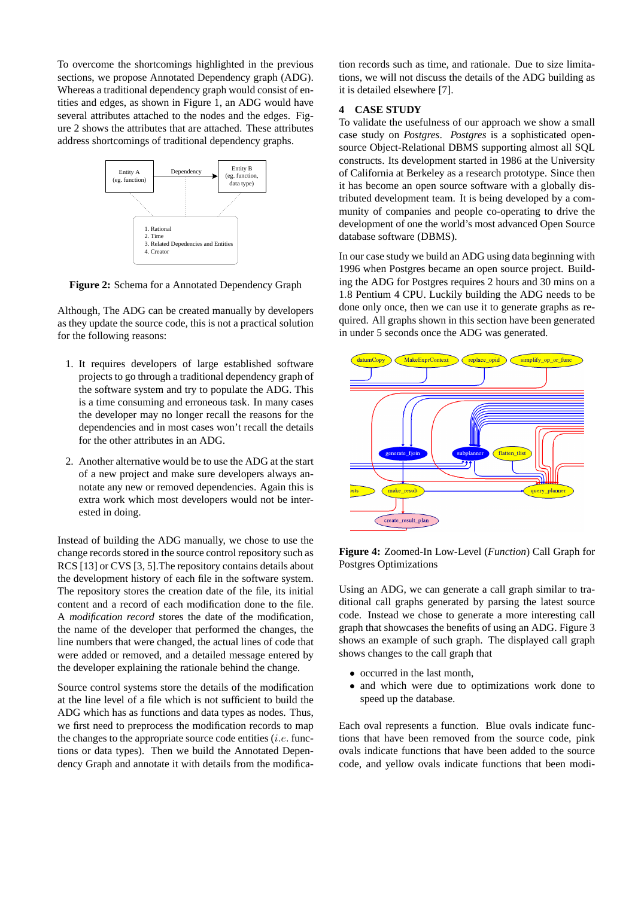To overcome the shortcomings highlighted in the previous sections, we propose Annotated Dependency graph (ADG). Whereas a traditional dependency graph would consist of entities and edges, as shown in Figure 1, an ADG would have several attributes attached to the nodes and the edges. Figure 2 shows the attributes that are attached. These attributes address shortcomings of traditional dependency graphs.



**Figure 2:** Schema for a Annotated Dependency Graph

Although, The ADG can be created manually by developers as they update the source code, this is not a practical solution for the following reasons:

- 1. It requires developers of large established software projects to go through a traditional dependency graph of the software system and try to populate the ADG. This is a time consuming and erroneous task. In many cases the developer may no longer recall the reasons for the dependencies and in most cases won't recall the details for the other attributes in an ADG.
- 2. Another alternative would be to use the ADG at the start of a new project and make sure developers always annotate any new or removed dependencies. Again this is extra work which most developers would not be interested in doing.

Instead of building the ADG manually, we chose to use the change records stored in the source control repository such as RCS [13] or CVS [3, 5]. The repository contains details about the development history of each file in the software system. The repository stores the creation date of the file, its initial content and a record of each modification done to the file. A *modification record* stores the date of the modification, the name of the developer that performed the changes, the line numbers that were changed, the actual lines of code that were added or removed, and a detailed message entered by the developer explaining the rationale behind the change.

Source control systems store the details of the modification at the line level of a file which is not sufficient to build the ADG which has as functions and data types as nodes. Thus, we first need to preprocess the modification records to map the changes to the appropriate source code entities  $(i.e.$  functions or data types). Then we build the Annotated Dependency Graph and annotate it with details from the modification records such as time, and rationale. Due to size limitations, we will not discuss the details of the ADG building as it is detailed elsewhere [7].

#### **4 CASE STUDY**

To validate the usefulness of our approach we show a small case study on *Postgres*. *Postgres* is a sophisticated opensource Object-Relational DBMS supporting almost all SQL constructs. Its development started in 1986 at the University of California at Berkeley as a research prototype. Since then it has become an open source software with a globally distributed development team. It is being developed by a community of companies and people co-operating to drive the development of one the world's most advanced Open Source database software (DBMS).

In our case study we build an ADG using data beginning with 1996 when Postgres became an open source project. Building the ADG for Postgres requires 2 hours and 30 mins on a 1.8 Pentium 4 CPU. Luckily building the ADG needs to be done only once, then we can use it to generate graphs as required. All graphs shown in this section have been generated in under 5 seconds once the ADG was generated.





Using an ADG, we can generate a call graph similar to traditional call graphs generated by parsing the latest source code. Instead we chose to generate a more interesting call graph that showcases the benefits of using an ADG. Figure 3 shows an example of such graph. The displayed call graph shows changes to the call graph that

- occurred in the last month.
- and which were due to optimizations work done to speed up the database.

Each oval represents a function. Blue ovals indicate functions that have been removed from the source code, pink ovals indicate functions that have been added to the source code, and yellow ovals indicate functions that been modi-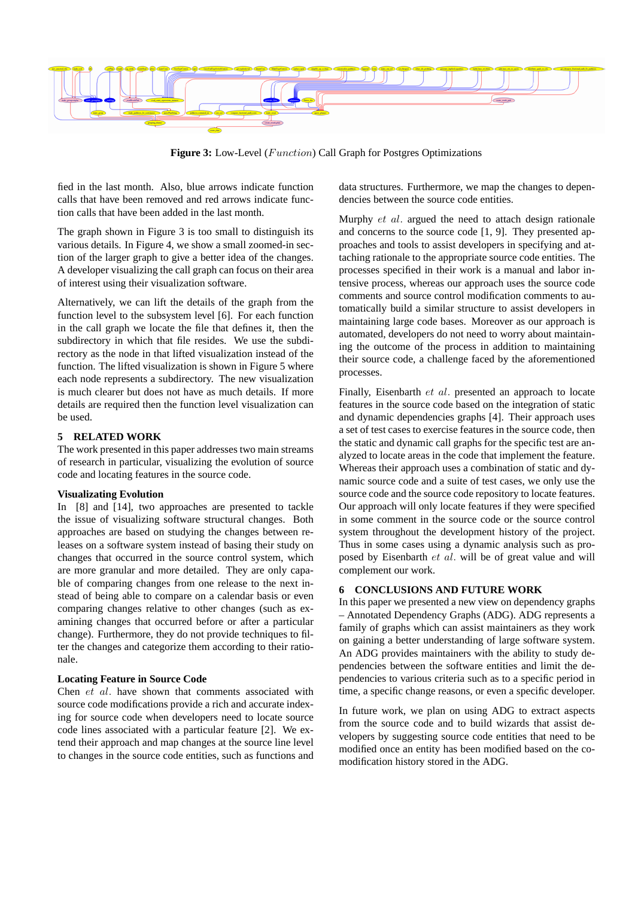

**Figure 3:** Low-Level (*Function*) Call Graph for Postgres Optimizations

fied in the last month. Also, blue arrows indicate function calls that have been removed and red arrows indicate function calls that have been added in the last month.

The graph shown in Figure 3 is too small to distinguish its various details. In Figure 4, we show a small zoomed-in section of the larger graph to give a better idea of the changes. A developer visualizing the call graph can focus on their area of interest using their visualization software.

Alternatively, we can lift the details of the graph from the function level to the subsystem level [6]. For each function in the call graph we locate the file that defines it, then the subdirectory in which that file resides. We use the subdirectory as the node in that lifted visualization instead of the function. The lifted visualization is shown in Figure 5 where each node represents a subdirectory. The new visualization is much clearer but does not have as much details. If more details are required then the function level visualization can be used.

## **5 RELATED WORK**

The work presented in this paper addresses two main streams of research in particular, visualizing the evolution of source code and locating features in the source code.

# **Visualizating Evolution**

In [8] and [14], two approaches are presented to tackle the issue of visualizing software structural changes. Both approaches are based on studying the changes between releases on a software system instead of basing their study on changes that occurred in the source control system, which are more granular and more detailed. They are only capable of comparing changes from one release to the next instead of being able to compare on a calendar basis or even comparing changes relative to other changes (such as examining changes that occurred before or after a particular change). Furthermore, they do not provide techniques to filter the changes and categorize them according to their rationale.

#### **Locating Feature in Source Code**

Chen et al. have shown that comments associated with source code modifications provide a rich and accurate indexing for source code when developers need to locate source code lines associated with a particular feature [2]. We extend their approach and map changes at the source line level to changes in the source code entities, such as functions and

data structures. Furthermore, we map the changes to dependencies between the source code entities.

Murphy *et al.* argued the need to attach design rationale and concerns to the source code [1, 9]. They presented approaches and tools to assist developers in specifying and attaching rationale to the appropriate source code entities. The processes specified in their work is a manual and labor intensive process, whereas our approach uses the source code comments and source control modification comments to automatically build a similar structure to assist developers in maintaining large code bases. Moreover as our approach is automated, developers do not need to worry about maintaining the outcome of the process in addition to maintaining their source code, a challenge faced by the aforementioned processes.

Finally, Eisenbarth et al. presented an approach to locate features in the source code based on the integration of static and dynamic dependencies graphs [4]. Their approach uses a set of test cases to exercise features in the source code, then the static and dynamic call graphs for the specific test are analyzed to locate areas in the code that implement the feature. Whereas their approach uses a combination of static and dynamic source code and a suite of test cases, we only use the source code and the source code repository to locate features. Our approach will only locate features if they were specified in some comment in the source code or the source control system throughout the development history of the project. Thus in some cases using a dynamic analysis such as proposed by Eisenbarth et al. will be of great value and will complement our work.

#### **6 CONCLUSIONS AND FUTURE WORK**

In this paper we presented a new view on dependency graphs – Annotated Dependency Graphs (ADG). ADG represents a family of graphs which can assist maintainers as they work on gaining a better understanding of large software system. An ADG provides maintainers with the ability to study dependencies between the software entities and limit the dependencies to various criteria such as to a specific period in time, a specific change reasons, or even a specific developer.

In future work, we plan on using ADG to extract aspects from the source code and to build wizards that assist developers by suggesting source code entities that need to be modified once an entity has been modified based on the comodification history stored in the ADG.